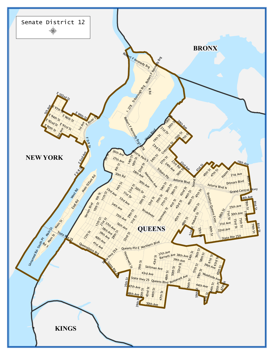